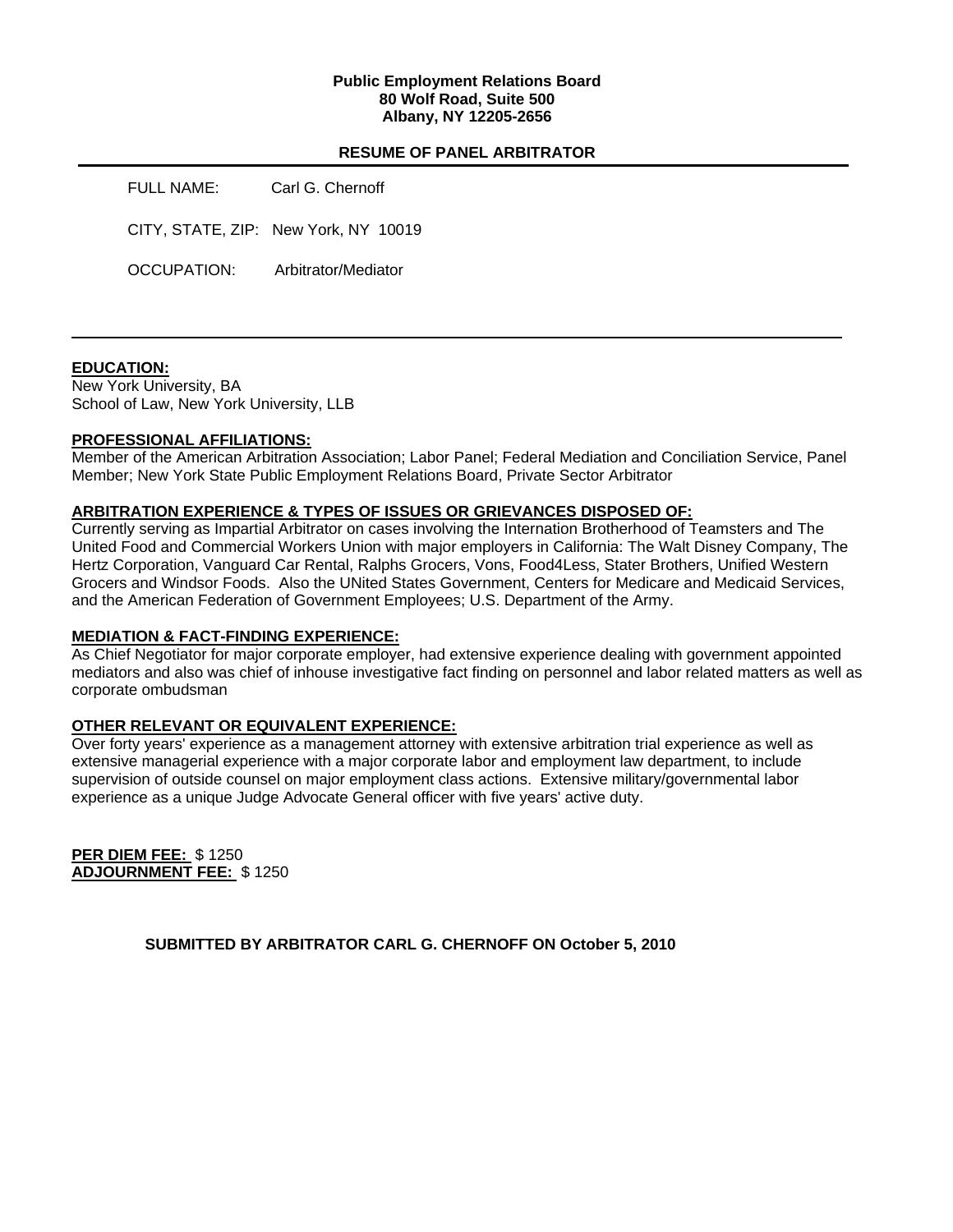### **Public Employment Relations Board 80 Wolf Road, Suite 500 Albany, NY 12205-2656**

### **RESUME OF PANEL ARBITRATOR**

| FULL NAME:  | Carl G. Chernoff                     |  |
|-------------|--------------------------------------|--|
|             | CITY, STATE, ZIP: New York, NY 10019 |  |
| OCCUPATION: | Arbitrator/Mediator                  |  |

### **EDUCATION:**

New York University, BA School of Law, New York University, LLB

#### **PROFESSIONAL AFFILIATIONS:**

Member of the American Arbitration Association; Labor Panel; Federal Mediation and Conciliation Service, Panel Member; New York State Public Employment Relations Board, Private Sector Arbitrator

#### **ARBITRATION EXPERIENCE & TYPES OF ISSUES OR GRIEVANCES DISPOSED OF:**

Currently serving as Impartial Arbitrator on cases involving the Internation Brotherhood of Teamsters and The United Food and Commercial Workers Union with major employers in California: The Walt Disney Company, The Hertz Corporation, Vanguard Car Rental, Ralphs Grocers, Vons, Food4Less, Stater Brothers, Unified Western Grocers and Windsor Foods. Also the UNited States Government, Centers for Medicare and Medicaid Services, and the American Federation of Government Employees; U.S. Department of the Army.

### **MEDIATION & FACT-FINDING EXPERIENCE:**

As Chief Negotiator for major corporate employer, had extensive experience dealing with government appointed mediators and also was chief of inhouse investigative fact finding on personnel and labor related matters as well as corporate ombudsman

### **OTHER RELEVANT OR EQUIVALENT EXPERIENCE:**

Over forty years' experience as a management attorney with extensive arbitration trial experience as well as extensive managerial experience with a major corporate labor and employment law department, to include supervision of outside counsel on major employment class actions. Extensive military/governmental labor experience as a unique Judge Advocate General officer with five years' active duty.

**PER DIEM FEE:** \$ 1250 **ADJOURNMENT FEE:** \$ 1250

**SUBMITTED BY ARBITRATOR CARL G. CHERNOFF ON October 5, 2010**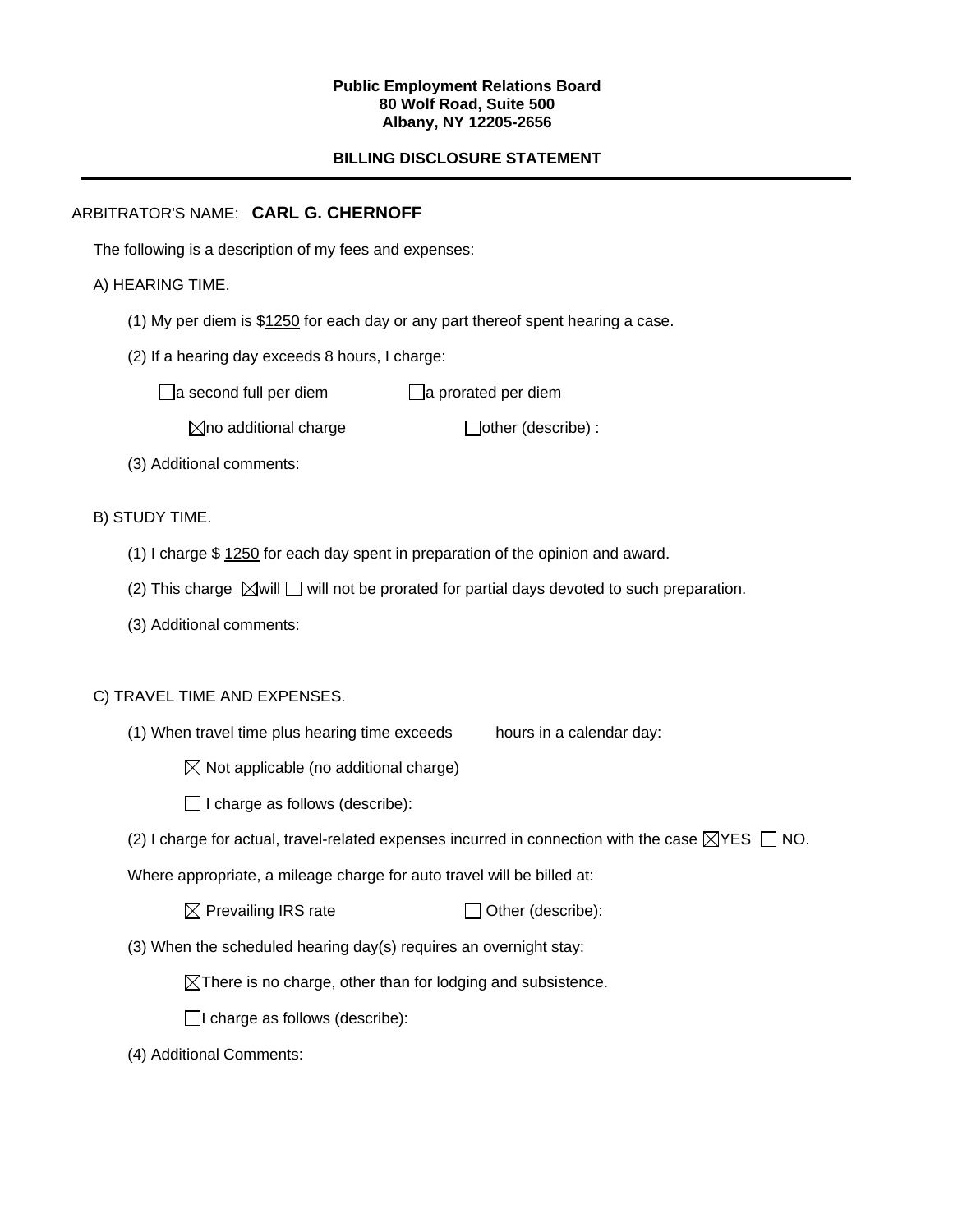#### **Public Employment Relations Board 80 Wolf Road, Suite 500 Albany, NY 12205-2656**

# **BILLING DISCLOSURE STATEMENT**

# ARBITRATOR'S NAME: **CARL G. CHERNOFF**

The following is a description of my fees and expenses:

# A) HEARING TIME.

- (1) My per diem is \$1250 for each day or any part thereof spent hearing a case.
- (2) If a hearing day exceeds 8 hours, I charge:

 $\Box$ a second full per diem  $\Box$ a prorated per diem

 $\boxtimes$ no additional charge  $\Box$ other (describe) :

(3) Additional comments:

B) STUDY TIME.

- (1) I charge \$ 1250 for each day spent in preparation of the opinion and award.
- (2) This charge  $\boxtimes$  will  $\Box$  will not be prorated for partial days devoted to such preparation.
- (3) Additional comments:

### C) TRAVEL TIME AND EXPENSES.

- (1) When travel time plus hearing time exceeds hours in a calendar day:
	- $\boxtimes$  Not applicable (no additional charge)
	- $\Box$  I charge as follows (describe):
- (2) I charge for actual, travel-related expenses incurred in connection with the case  $\boxtimes$ YES  $\Box$  NO.

Where appropriate, a mileage charge for auto travel will be billed at:

| $\boxtimes$ Prevailing IRS rate | $\Box$ Other (describe): |
|---------------------------------|--------------------------|
|---------------------------------|--------------------------|

(3) When the scheduled hearing day(s) requires an overnight stay:

 $\boxtimes$ There is no charge, other than for lodging and subsistence.

 $\Box$ I charge as follows (describe):

(4) Additional Comments: